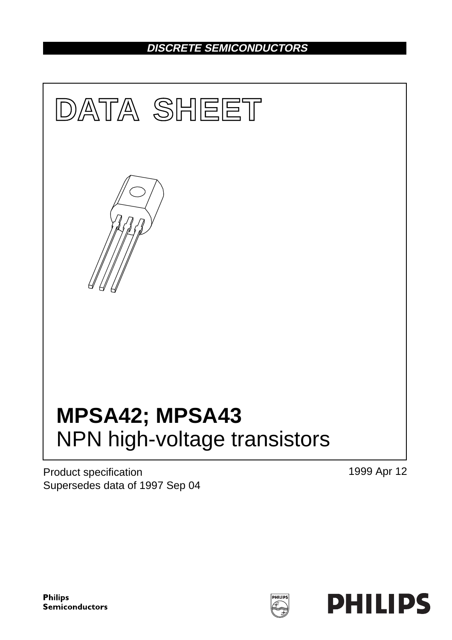## **DISCRETE SEMICONDUCTORS**



Product specification Supersedes data of 1997 Sep 04 1999 Apr 12

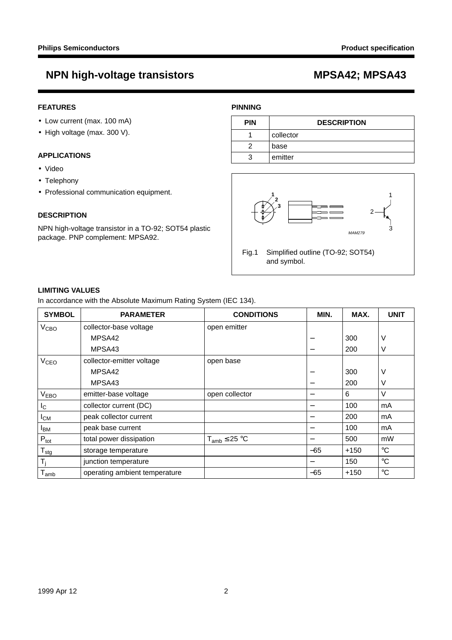## **FEATURES**

- Low current (max. 100 mA)
- High voltage (max. 300 V).

## **APPLICATIONS**

- Video
- Telephony
- Professional communication equipment.

## **DESCRIPTION**

NPN high-voltage transistor in a TO-92; SOT54 plastic package. PNP complement: MPSA92.

## **PINNING**

| <b>PIN</b> | <b>DESCRIPTION</b> |  |
|------------|--------------------|--|
|            | collector          |  |
|            | base               |  |
| 3          | emitter            |  |



### **LIMITING VALUES**

In accordance with the Absolute Maximum Rating System (IEC 134).

| <b>SYMBOL</b>               | <b>PARAMETER</b>              | <b>CONDITIONS</b>    | MIN.                     | MAX.   | <b>UNIT</b>     |
|-----------------------------|-------------------------------|----------------------|--------------------------|--------|-----------------|
| V <sub>CBO</sub>            | collector-base voltage        | open emitter         |                          |        |                 |
|                             | MPSA42                        |                      |                          | 300    | ν               |
|                             | MPSA43                        |                      | —                        | 200    | ν               |
| <b>V<sub>CEO</sub></b>      | collector-emitter voltage     | open base            |                          |        |                 |
|                             | MPSA42                        |                      |                          | 300    | ν               |
|                             | MPSA43                        |                      |                          | 200    | ν               |
| V <sub>EBO</sub>            | emitter-base voltage          | open collector       | —                        | 6      | V               |
| I <sub>C</sub>              | collector current (DC)        |                      |                          | 100    | mA              |
| $I_{CM}$                    | peak collector current        |                      | —                        | 200    | mA              |
| <b>I</b> BM                 | peak base current             |                      | —                        | 100    | mA              |
| $P_{\text{tot}}$            | total power dissipation       | $T_{amb} \leq 25 °C$ | $\overline{\phantom{0}}$ | 500    | mW              |
| $T_{\text{stg}}$            | storage temperature           |                      | $-65$                    | $+150$ | $\rm ^{\circ}C$ |
| T,                          | junction temperature          |                      |                          | 150    | $^{\circ}C$     |
| $\mathsf{T}_{\mathsf{amb}}$ | operating ambient temperature |                      | $-65$                    | $+150$ | $\rm ^{\circ}C$ |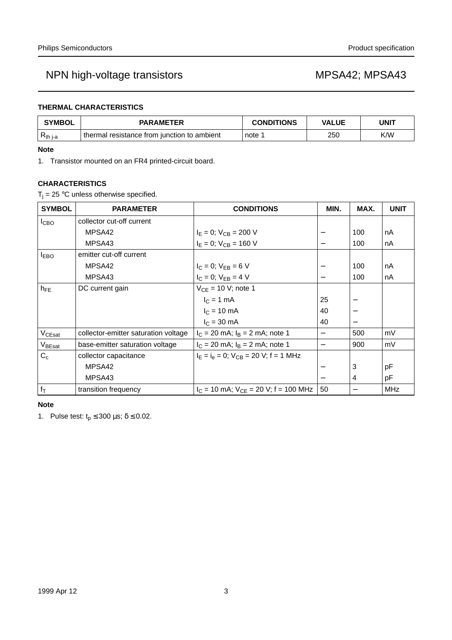## **THERMAL CHARACTERISTICS**

| <b>SYMBOL</b> | <b>PARAMETER</b>                            | <b>CONDITIONS</b> | VALUE | <b>UNIT</b> |
|---------------|---------------------------------------------|-------------------|-------|-------------|
| $R_{th i-a}$  | thermal resistance from junction to ambient | note              | 250   | K/W         |

### **Note**

1. Transistor mounted on an FR4 printed-circuit board.

## **CHARACTERISTICS**

 $T_i = 25$  °C unless otherwise specified.

| <b>SYMBOL</b>      | <b>PARAMETER</b>                     | <b>CONDITIONS</b>                            | MIN.                     | MAX. | <b>UNIT</b> |
|--------------------|--------------------------------------|----------------------------------------------|--------------------------|------|-------------|
| I <sub>CBO</sub>   | collector cut-off current            |                                              |                          |      |             |
|                    | MPSA42                               | $I_E = 0$ ; $V_{CB} = 200$ V                 | —                        | 100  | nA          |
|                    | MPSA43                               | $I_F = 0$ ; $V_{CB} = 160$ V                 | $\overline{\phantom{0}}$ | 100  | nA          |
| $I_{EBO}$          | emitter cut-off current              |                                              |                          |      |             |
|                    | MPSA42                               | $I_C = 0$ ; $V_{EB} = 6 V$                   |                          | 100  | nA          |
|                    | MPSA43                               | $I_C = 0$ ; $V_{EB} = 4 V$                   | —                        | 100  | nA          |
| $h_{FE}$           | DC current gain                      | $V_{CE}$ = 10 V; note 1                      |                          |      |             |
|                    |                                      | $IC = 1 mA$                                  | 25                       |      |             |
|                    |                                      | $I_C = 10 \text{ mA}$                        | 40                       |      |             |
|                    |                                      | $I_C = 30$ mA                                | 40                       |      |             |
| $V_{CEsat}$        | collector-emitter saturation voltage | $I_C = 20$ mA; $I_B = 2$ mA; note 1          | $\overline{\phantom{0}}$ | 500  | mV          |
| V <sub>BEsat</sub> | base-emitter saturation voltage      | $I_C = 20$ mA; $I_B = 2$ mA; note 1          | $\overline{\phantom{0}}$ | 900  | mV          |
| $C_c$              | collector capacitance                | $I_E = I_e = 0$ ; $V_{CB} = 20$ V; f = 1 MHz |                          |      |             |
|                    | MPSA42                               |                                              |                          | 3    | рF          |
|                    | MPSA43                               |                                              |                          | 4    | pF          |
| $f_T$              | transition frequency                 | $I_C = 10$ mA; $V_{CE} = 20$ V; f = 100 MHz  | 50                       |      | <b>MHz</b>  |

### **Note**

1. Pulse test:  $t_p \le 300 \,\mu s$ ;  $\delta \le 0.02$ .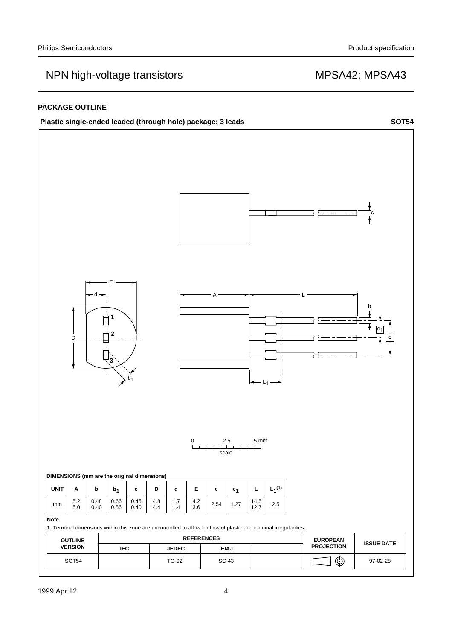### **PACKAGE OUTLINE**

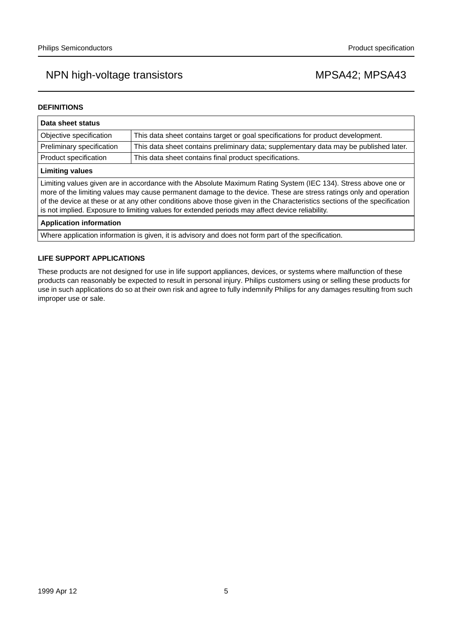### **DEFINITIONS**

| Data sheet status                                                                                                                                                                                                                                                                                                                                                                                                                                                  |                                                                                       |  |  |
|--------------------------------------------------------------------------------------------------------------------------------------------------------------------------------------------------------------------------------------------------------------------------------------------------------------------------------------------------------------------------------------------------------------------------------------------------------------------|---------------------------------------------------------------------------------------|--|--|
| Objective specification                                                                                                                                                                                                                                                                                                                                                                                                                                            | This data sheet contains target or goal specifications for product development.       |  |  |
| Preliminary specification                                                                                                                                                                                                                                                                                                                                                                                                                                          | This data sheet contains preliminary data; supplementary data may be published later. |  |  |
| Product specification                                                                                                                                                                                                                                                                                                                                                                                                                                              | This data sheet contains final product specifications.                                |  |  |
| <b>Limiting values</b>                                                                                                                                                                                                                                                                                                                                                                                                                                             |                                                                                       |  |  |
| Limiting values given are in accordance with the Absolute Maximum Rating System (IEC 134). Stress above one or<br>more of the limiting values may cause permanent damage to the device. These are stress ratings only and operation<br>of the device at these or at any other conditions above those given in the Characteristics sections of the specification<br>is not implied. Exposure to limiting values for extended periods may affect device reliability. |                                                                                       |  |  |
| <b>Application information</b>                                                                                                                                                                                                                                                                                                                                                                                                                                     |                                                                                       |  |  |
| Where application information is given, it is advisory and does not form part of the specification.                                                                                                                                                                                                                                                                                                                                                                |                                                                                       |  |  |

### **LIFE SUPPORT APPLICATIONS**

These products are not designed for use in life support appliances, devices, or systems where malfunction of these products can reasonably be expected to result in personal injury. Philips customers using or selling these products for use in such applications do so at their own risk and agree to fully indemnify Philips for any damages resulting from such improper use or sale.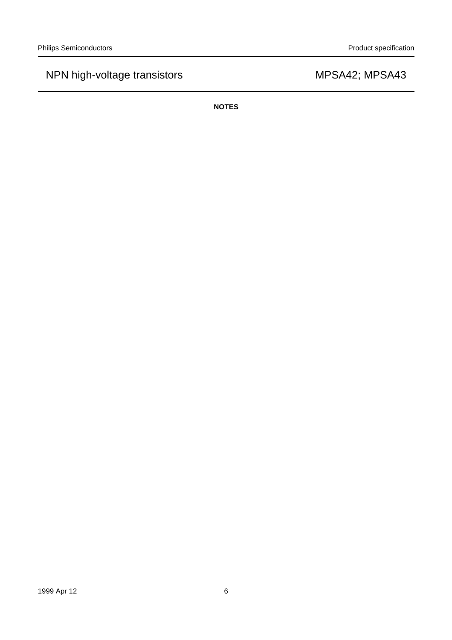**NOTES**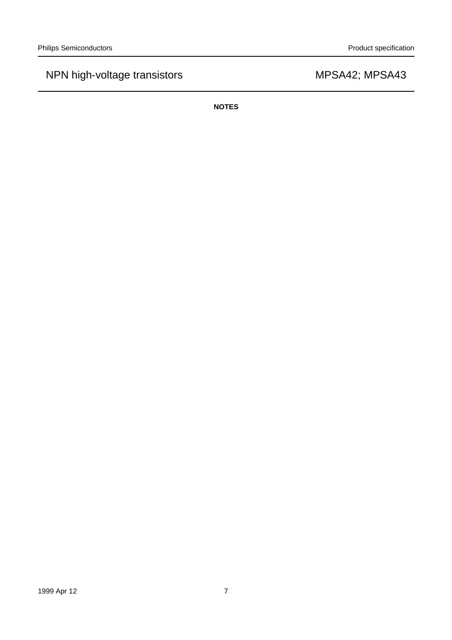**NOTES**